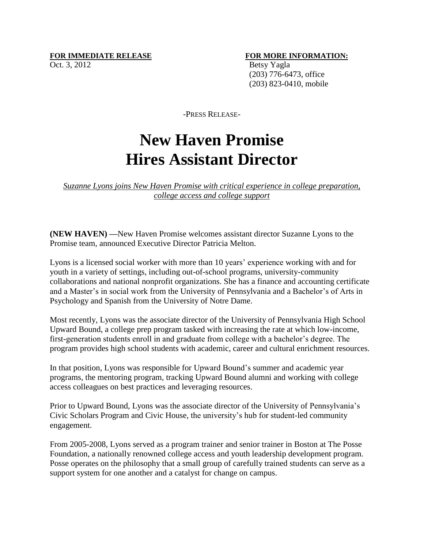## **FOR IMMEDIATE RELEASE FOR MORE INFORMATION:**

Oct. 3, 2012 Betsy Yagla (203) 776-6473, office (203) 823-0410, mobile

-PRESS RELEASE-

## **New Haven Promise Hires Assistant Director**

*Suzanne Lyons joins New Haven Promise with critical experience in college preparation, college access and college support* 

**(NEW HAVEN) —**New Haven Promise welcomes assistant director Suzanne Lyons to the Promise team, announced Executive Director Patricia Melton.

Lyons is a licensed social worker with more than 10 years' experience working with and for youth in a variety of settings, including out-of-school programs, university-community collaborations and national nonprofit organizations. She has a finance and accounting certificate and a Master's in social work from the University of Pennsylvania and a Bachelor's of Arts in Psychology and Spanish from the University of Notre Dame.

Most recently, Lyons was the associate director of the University of Pennsylvania High School Upward Bound, a college prep program tasked with increasing the rate at which low-income, first-generation students enroll in and graduate from college with a bachelor's degree. The program provides high school students with academic, career and cultural enrichment resources.

In that position, Lyons was responsible for Upward Bound's summer and academic year programs, the mentoring program, tracking Upward Bound alumni and working with college access colleagues on best practices and leveraging resources.

Prior to Upward Bound, Lyons was the associate director of the University of Pennsylvania's Civic Scholars Program and Civic House, the university's hub for student-led community engagement.

From 2005-2008, Lyons served as a program trainer and senior trainer in Boston at The Posse Foundation, a nationally renowned college access and youth leadership development program. Posse operates on the philosophy that a small group of carefully trained students can serve as a support system for one another and a catalyst for change on campus.